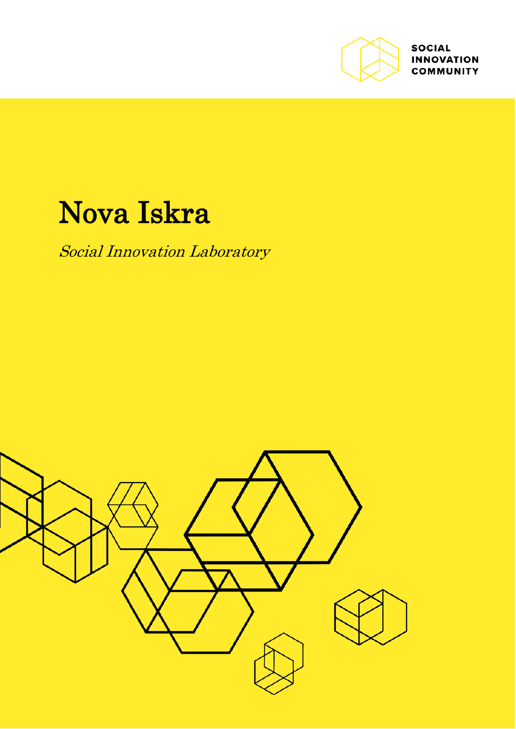

**SOCIAL INNOVATION COMMUNITY** 

# Nova Iskra

Social Innovation Laboratory

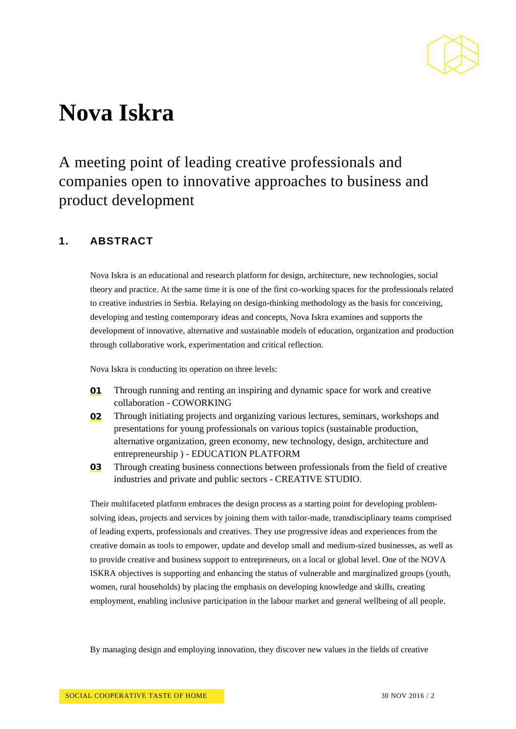

## **Nova Iskra**

### A meeting point of leading creative professionals and companies open to innovative approaches to business and product development

#### **1. ABSTRACT**

Nova Iskra is an educational and research platform for design, architecture, new technologies, social theory and practice. At the same time it is one of the first co-working spaces for the professionals related to creative industries in Serbia. Relaying on design-thinking methodology as the basis for conceiving, developing and testing contemporary ideas and concepts, Nova Iskra examines and supports the development of innovative, alternative and sustainable models of education, organization and production through collaborative work, experimentation and critical reflection.

Nova Iskra is conducting its operation on three levels:

- 01 Through running and renting an inspiring and dynamic space for work and creative collaboration - COWORKING
- 02 Through initiating projects and organizing various lectures, seminars, workshops and presentations for young professionals on various topics (sustainable production, alternative organization, green economy, new technology, design, architecture and entrepreneurship ) - EDUCATION PLATFORM
- 03 Through creating business connections between professionals from the field of creative industries and private and public sectors - CREATIVE STUDIO.

Their multifaceted platform embraces the design process as a starting point for developing problemsolving ideas, projects and services by joining them with tailor-made, transdisciplinary teams comprised of leading experts, professionals and creatives. They use progressive ideas and experiences from the creative domain as tools to empower, update and develop small and medium-sized businesses, as well as to provide creative and business support to entrepreneurs, on a local or global level. One of the NOVA ISKRA objectives is supporting and enhancing the status of vulnerable and marginalized groups (youth, women, rural households) by placing the emphasis on developing knowledge and skills, creating employment, enabling inclusive participation in the labour market and general wellbeing of all people.

By managing design and employing innovation, they discover new values in the fields of creative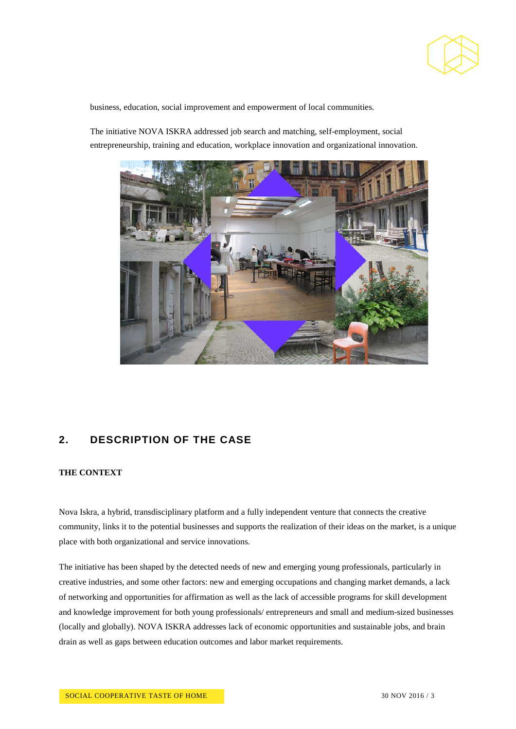

business, education, social improvement and empowerment of local communities.

The initiative NOVA ISKRA addressed job search and matching, self-employment, social entrepreneurship, training and education, workplace innovation and organizational innovation.



#### **2. DESCRIPTION OF THE CASE**

#### **THE CONTEXT**

Nova Iskra, a hybrid, transdisciplinary platform and a fully independent venture that connects the creative community, links it to the potential businesses and supports the realization of their ideas on the market, is a unique place with both organizational and service innovations.

The initiative has been shaped by the detected needs of new and emerging young professionals, particularly in creative industries, and some other factors: new and emerging occupations and changing market demands, a lack of networking and opportunities for affirmation as well as the lack of accessible programs for skill development and knowledge improvement for both young professionals/ entrepreneurs and small and medium-sized businesses (locally and globally). NOVA ISKRA addresses lack of economic opportunities and sustainable jobs, and brain drain as well as gaps between education outcomes and labor market requirements.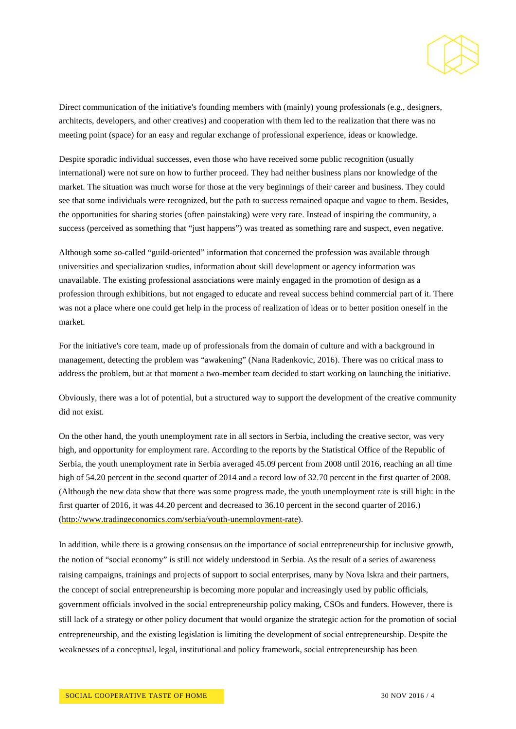

Direct communication of the initiative's founding members with (mainly) young professionals (e.g., designers, architects, developers, and other creatives) and cooperation with them led to the realization that there was no meeting point (space) for an easy and regular exchange of professional experience, ideas or knowledge.

Despite sporadic individual successes, even those who have received some public recognition (usually international) were not sure on how to further proceed. They had neither business plans nor knowledge of the market. The situation was much worse for those at the very beginnings of their career and business. They could see that some individuals were recognized, but the path to success remained opaque and vague to them. Besides, the opportunities for sharing stories (often painstaking) were very rare. Instead of inspiring the community, a success (perceived as something that "just happens") was treated as something rare and suspect, even negative.

Although some so-called "guild-oriented" information that concerned the profession was available through universities and specialization studies, information about skill development or agency information was unavailable. The existing professional associations were mainly engaged in the promotion of design as a profession through exhibitions, but not engaged to educate and reveal success behind commercial part of it. There was not a place where one could get help in the process of realization of ideas or to better position oneself in the market.

For the initiative's core team, made up of professionals from the domain of culture and with a background in management, detecting the problem was "awakening" (Nana Radenkovic, 2016). There was no critical mass to address the problem, but at that moment a two-member team decided to start working on launching the initiative.

Obviously, there was a lot of potential, but a structured way to support the development of the creative community did not exist.

On the other hand, the youth unemployment rate in all sectors in Serbia, including the creative sector, was very high, and opportunity for employment rare. According to the reports by the Statistical Office of the Republic of Serbia, the youth unemployment rate in Serbia averaged 45.09 percent from 2008 until 2016, reaching an all time high of 54.20 percent in the second quarter of 2014 and a record low of 32.70 percent in the first quarter of 2008. (Although the new data show that there was some progress made, the youth unemployment rate is still high: in the first quarter of 2016, it was 44.20 percent and decreased to 36.10 percent in the second quarter of 2016.) [\(http://www.tradingeconomics.com/serbia/youth-unemployment-rate\)](http://www.tradingeconomics.com/serbia/youth-unemployment-rate).

In addition, while there is a growing consensus on the importance of social entrepreneurship for inclusive growth, the notion of "social economy" is still not widely understood in Serbia. As the result of a series of awareness raising campaigns, trainings and projects of support to social enterprises, many by Nova Iskra and their partners, the concept of social entrepreneurship is becoming more popular and increasingly used by public officials, government officials involved in the social entrepreneurship policy making, CSOs and funders. However, there is still lack of a strategy or other policy document that would organize the strategic action for the promotion of social entrepreneurship, and the existing legislation is limiting the development of social entrepreneurship. Despite the weaknesses of a conceptual, legal, institutional and policy framework, social entrepreneurship has been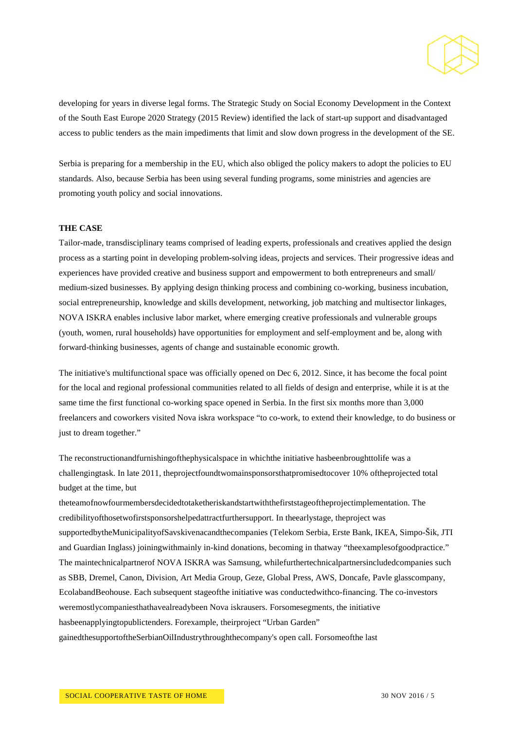

developing for years in diverse legal forms. The Strategic Study on Social Economy Development in the Context of the South East Europe 2020 Strategy (2015 Review) identified the lack of start-up support and disadvantaged access to public tenders as the main impediments that limit and slow down progress in the development of the SE.

Serbia is preparing for a membership in the EU, which also obliged the policy makers to adopt the policies to EU standards. Also, because Serbia has been using several funding programs, some ministries and agencies are promoting youth policy and social innovations.

#### **THE CASE**

Tailor-made, transdisciplinary teams comprised of leading experts, professionals and creatives applied the design process as a starting point in developing problem-solving ideas, projects and services. Their progressive ideas and experiences have provided creative and business support and empowerment to both entrepreneurs and small/ medium-sized businesses. By applying design thinking process and combining co-working, business incubation, social entrepreneurship, knowledge and skills development, networking, job matching and multisector linkages, NOVA ISKRA enables inclusive labor market, where emerging creative professionals and vulnerable groups (youth, women, rural households) have opportunities for employment and self-employment and be, along with forward-thinking businesses, agents of change and sustainable economic growth.

The initiative's multifunctional space was officially opened on Dec 6, 2012. Since, it has become the focal point for the local and regional professional communities related to all fields of design and enterprise, while it is at the same time the first functional co-working space opened in Serbia. In the first six months more than 3,000 freelancers and coworkers visited Nova iskra workspace "to co-work, to extend their knowledge, to do business or just to dream together."

The reconstructionandfurnishingofthephysicalspace in whichthe initiative hasbeenbroughttolife was a challengingtask. In late 2011, theprojectfoundtwomainsponsorsthatpromisedtocover 10% oftheprojected total budget at the time, but

theteamofnowfourmembersdecidedtotaketheriskandstartwiththefirststageoftheprojectimplementation. The credibilityofthosetwofirstsponsorshelpedattractfurthersupport. In theearlystage, theproject was supportedbytheMunicipalityofSavskivenacandthecompanies (Telekom Serbia, Erste Bank, IKEA, Simpo-Šik, JTI and Guardian Inglass) joiningwithmainly in-kind donations, becoming in thatway "theexamplesofgoodpractice." The maintechnicalpartnerof NOVA ISKRA was Samsung, whilefurthertechnicalpartnersincludedcompanies such as SBB, Dremel, Canon, Division, Art Media Group, Geze, Global Press, AWS, Doncafe, Pavle glasscompany, EcolabandBeohouse. Each subsequent stageofthe initiative was conductedwithco-financing. The co-investors weremostlycompaniesthathavealreadybeen Nova iskrausers. Forsomesegments, the initiative hasbeenapplyingtopublictenders. Forexample, theirproject "Urban Garden" gainedthesupportoftheSerbianOilIndustrythroughthecompany's open call. Forsomeofthe last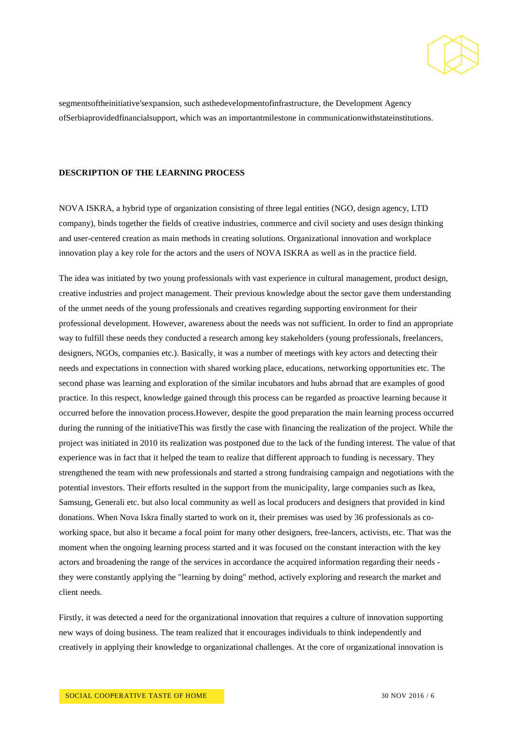

segmentsoftheinitiative'sexpansion, such asthedevelopmentofinfrastructure, the Development Agency ofSerbiaprovidedfinancialsupport, which was an importantmilestone in communicationwithstateinstitutions.

#### **DESCRIPTION OF THE LEARNING PROCESS**

NOVA ISKRA, a hybrid type of organization consisting of three legal entities (NGO, design agency, LTD company), binds together the fields of creative industries, commerce and civil society and uses design thinking and user-centered creation as main methods in creating solutions. Organizational innovation and workplace innovation play a key role for the actors and the users of NOVA ISKRA as well as in the practice field.

The idea was initiated by two young professionals with vast experience in cultural management, product design, creative industries and project management. Their previous knowledge about the sector gave them understanding of the unmet needs of the young professionals and creatives regarding supporting environment for their professional development. However, awareness about the needs was not sufficient. In order to find an appropriate way to fulfill these needs they conducted a research among key stakeholders (young professionals, freelancers, designers, NGOs, companies etc.). Basically, it was a number of meetings with key actors and detecting their needs and expectations in connection with shared working place, educations, networking opportunities etc. The second phase was learning and exploration of the similar incubators and hubs abroad that are examples of good practice. In this respect, knowledge gained through this process can be regarded as proactive learning because it occurred before the innovation process.However, despite the good preparation the main learning process occurred during the running of the initiativeThis was firstly the case with financing the realization of the project. While the project was initiated in 2010 its realization was postponed due to the lack of the funding interest. The value of that experience was in fact that it helped the team to realize that different approach to funding is necessary. They strengthened the team with new professionals and started a strong fundraising campaign and negotiations with the potential investors. Their efforts resulted in the support from the municipality, large companies such as Ikea, Samsung, Generali etc. but also local community as well as local producers and designers that provided in kind donations. When Nova Iskra finally started to work on it, their premises was used by 36 professionals as coworking space, but also it became a focal point for many other designers, free-lancers, activists, etc. That was the moment when the ongoing learning process started and it was focused on the constant interaction with the key actors and broadening the range of the services in accordance the acquired information regarding their needs they were constantly applying the "learning by doing" method, actively exploring and research the market and client needs.

Firstly, it was detected a need for the organizational innovation that requires a culture of innovation supporting new ways of doing business. The team realized that it encourages individuals to think independently and creatively in applying their knowledge to organizational challenges. At the core of organizational innovation is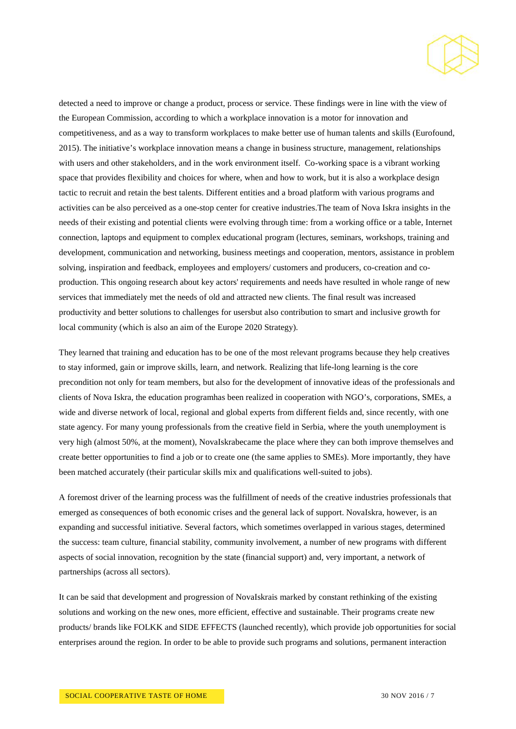

detected a need to improve or change a product, process or service. These findings were in line with the view of the European Commission, according to which a workplace innovation is a motor for innovation and competitiveness, and as a way to transform workplaces to make better use of human talents and skills (Eurofound, 2015). The initiative's workplace innovation means a change in business structure, management, relationships with users and other stakeholders, and in the work environment itself. Co-working space is a vibrant working space that provides flexibility and choices for where, when and how to work, but it is also a workplace design tactic to recruit and retain the best talents. Different entities and a broad platform with various programs and activities can be also perceived as a one-stop center for creative industries.The team of Nova Iskra insights in the needs of their existing and potential clients were evolving through time: from a working office or a table, Internet connection, laptops and equipment to complex educational program (lectures, seminars, workshops, training and development, communication and networking, business meetings and cooperation, mentors, assistance in problem solving, inspiration and feedback, employees and employers/ customers and producers, co-creation and coproduction. This ongoing research about key actors' requirements and needs have resulted in whole range of new services that immediately met the needs of old and attracted new clients. The final result was increased productivity and better solutions to challenges for usersbut also contribution to smart and inclusive growth for local community (which is also an aim of the Europe 2020 Strategy).

They learned that training and education has to be one of the most relevant programs because they help creatives to stay informed, gain or improve skills, learn, and network. Realizing that life-long learning is the core precondition not only for team members, but also for the development of innovative ideas of the professionals and clients of Nova Iskra, the education programhas been realized in cooperation with NGO's, corporations, SMEs, a wide and diverse network of local, regional and global experts from different fields and, since recently, with one state agency. For many young professionals from the creative field in Serbia, where the youth unemployment is very high (almost 50%, at the moment), NovaIskrabecame the place where they can both improve themselves and create better opportunities to find a job or to create one (the same applies to SMEs). More importantly, they have been matched accurately (their particular skills mix and qualifications well-suited to jobs).

A foremost driver of the learning process was the fulfillment of needs of the creative industries professionals that emerged as consequences of both economic crises and the general lack of support. NovaIskra, however, is an expanding and successful initiative. Several factors, which sometimes overlapped in various stages, determined the success: team culture, financial stability, community involvement, a number of new programs with different aspects of social innovation, recognition by the state (financial support) and, very important, a network of partnerships (across all sectors).

It can be said that development and progression of NovaIskrais marked by constant rethinking of the existing solutions and working on the new ones, more efficient, effective and sustainable. Their programs create new products/ brands like FOLKK and SIDE EFFECTS (launched recently), which provide job opportunities for social enterprises around the region. In order to be able to provide such programs and solutions, permanent interaction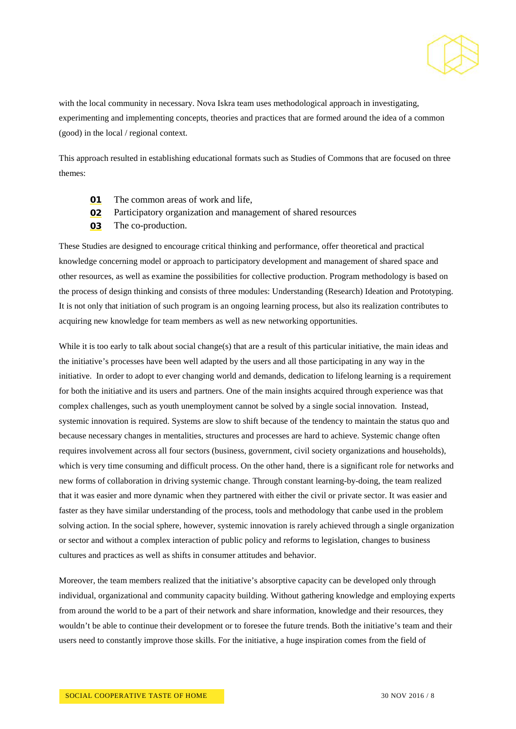with the local community in necessary. Nova Iskra team uses methodological approach in investigating, experimenting and implementing concepts, theories and practices that are formed around the idea of a common (good) in the local / regional context.

This approach resulted in establishing educational formats such as Studies of Commons that are focused on three themes:

- **01** The common areas of work and life.
- 02 Participatory organization and management of shared resources
- 03 The co-production.

These Studies are designed to encourage critical thinking and performance, offer theoretical and practical knowledge concerning model or approach to participatory development and management of shared space and other resources, as well as examine the possibilities for collective production. Program methodology is based on the process of design thinking and consists of three modules: Understanding (Research) Ideation and Prototyping. It is not only that initiation of such program is an ongoing learning process, but also its realization contributes to acquiring new knowledge for team members as well as new networking opportunities.

While it is too early to talk about social change(s) that are a result of this particular initiative, the main ideas and the initiative's processes have been well adapted by the users and all those participating in any way in the initiative. In order to adopt to ever changing world and demands, dedication to lifelong learning is a requirement for both the initiative and its users and partners. One of the main insights acquired through experience was that complex challenges, such as youth unemployment cannot be solved by a single social innovation. Instead, systemic innovation is required. Systems are slow to shift because of the tendency to maintain the status quo and because necessary changes in mentalities, structures and processes are hard to achieve. Systemic change often requires involvement across all four sectors (business, government, civil society organizations and households), which is very time consuming and difficult process. On the other hand, there is a significant role for networks and new forms of collaboration in driving systemic change. Through constant learning-by-doing, the team realized that it was easier and more dynamic when they partnered with either the civil or private sector. It was easier and faster as they have similar understanding of the process, tools and methodology that canbe used in the problem solving action. In the social sphere, however, systemic innovation is rarely achieved through a single organization or sector and without a complex interaction of public policy and reforms to legislation, changes to business cultures and practices as well as shifts in consumer attitudes and behavior.

Moreover, the team members realized that the initiative's absorptive capacity can be developed only through individual, organizational and community capacity building. Without gathering knowledge and employing experts from around the world to be a part of their network and share information, knowledge and their resources, they wouldn't be able to continue their development or to foresee the future trends. Both the initiative's team and their users need to constantly improve those skills. For the initiative, a huge inspiration comes from the field of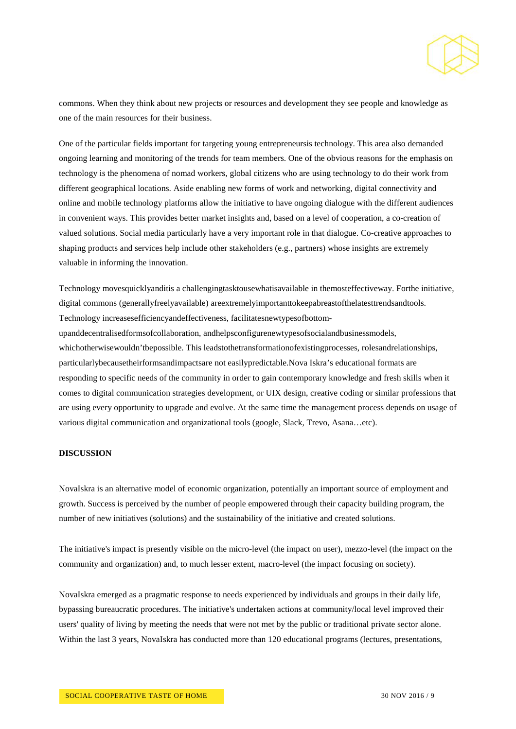

commons. When they think about new projects or resources and development they see people and knowledge as one of the main resources for their business.

One of the particular fields important for targeting young entrepreneursis technology. This area also demanded ongoing learning and monitoring of the trends for team members. One of the obvious reasons for the emphasis on technology is the phenomena of nomad workers, global citizens who are using technology to do their work from different geographical locations. Aside enabling new forms of work and networking, digital connectivity and online and mobile technology platforms allow the initiative to have ongoing dialogue with the different audiences in convenient ways. This provides better market insights and, based on a level of cooperation, a co-creation of valued solutions. Social media particularly have a very important role in that dialogue. Co-creative approaches to shaping products and services help include other stakeholders (e.g., partners) whose insights are extremely valuable in informing the innovation.

Technology movesquicklyanditis a challengingtasktousewhatisavailable in themosteffectiveway. Forthe initiative, digital commons (generallyfreelyavailable) areextremelyimportanttokeepabreastofthelatesttrendsandtools. Technology increasesefficiencyandeffectiveness, facilitatesnewtypesofbottomupanddecentralisedformsofcollaboration, andhelpsconfigurenewtypesofsocialandbusinessmodels, whichotherwisewouldn'tbepossible. This leadstothetransformationofexistingprocesses, rolesandrelationships, particularlybecausetheirformsandimpactsare not easilypredictable.Nova Iskra's educational formats are responding to specific needs of the community in order to gain contemporary knowledge and fresh skills when it comes to digital communication strategies development, or UIX design, creative coding or similar professions that are using every opportunity to upgrade and evolve. At the same time the management process depends on usage of various digital communication and organizational tools (google, Slack, Trevo, Asana…etc).

#### **DISCUSSION**

NovaIskra is an alternative model of economic organization, potentially an important source of employment and growth. Success is perceived by the number of people empowered through their capacity building program, the number of new initiatives (solutions) and the sustainability of the initiative and created solutions.

The initiative's impact is presently visible on the micro-level (the impact on user), mezzo-level (the impact on the community and organization) and, to much lesser extent, macro-level (the impact focusing on society).

NovaIskra emerged as a pragmatic response to needs experienced by individuals and groups in their daily life, bypassing bureaucratic procedures. The initiative's undertaken actions at community/local level improved their users' quality of living by meeting the needs that were not met by the public or traditional private sector alone. Within the last 3 years, NovaIskra has conducted more than 120 educational programs (lectures, presentations,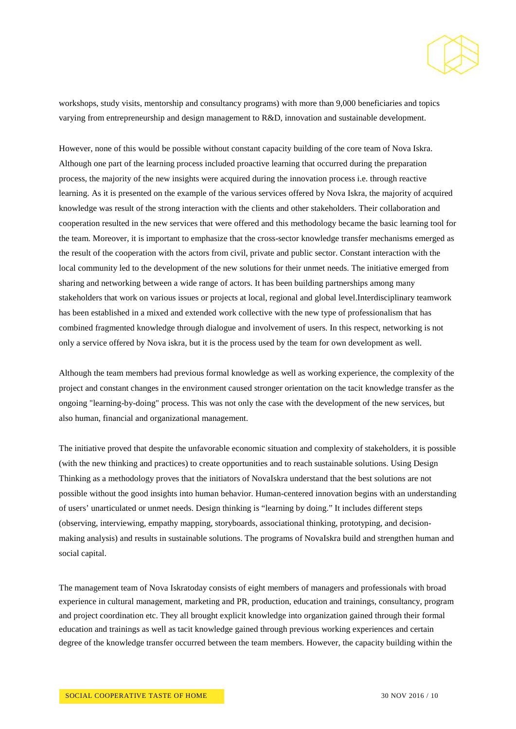

workshops, study visits, mentorship and consultancy programs) with more than 9,000 beneficiaries and topics varying from entrepreneurship and design management to R&D, innovation and sustainable development.

However, none of this would be possible without constant capacity building of the core team of Nova Iskra. Although one part of the learning process included proactive learning that occurred during the preparation process, the majority of the new insights were acquired during the innovation process i.e. through reactive learning. As it is presented on the example of the various services offered by Nova Iskra, the majority of acquired knowledge was result of the strong interaction with the clients and other stakeholders. Their collaboration and cooperation resulted in the new services that were offered and this methodology became the basic learning tool for the team. Moreover, it is important to emphasize that the cross-sector knowledge transfer mechanisms emerged as the result of the cooperation with the actors from civil, private and public sector. Constant interaction with the local community led to the development of the new solutions for their unmet needs. The initiative emerged from sharing and networking between a wide range of actors. It has been building partnerships among many stakeholders that work on various issues or projects at local, regional and global level.Interdisciplinary teamwork has been established in a mixed and extended work collective with the new type of professionalism that has combined fragmented knowledge through dialogue and involvement of users. In this respect, networking is not only a service offered by Nova iskra, but it is the process used by the team for own development as well.

Although the team members had previous formal knowledge as well as working experience, the complexity of the project and constant changes in the environment caused stronger orientation on the tacit knowledge transfer as the ongoing "learning-by-doing" process. This was not only the case with the development of the new services, but also human, financial and organizational management.

The initiative proved that despite the unfavorable economic situation and complexity of stakeholders, it is possible (with the new thinking and practices) to create opportunities and to reach sustainable solutions. Using Design Thinking as a methodology proves that the initiators of NovaIskra understand that the best solutions are not possible without the good insights into human behavior. Human-centered innovation begins with an understanding of users' unarticulated or unmet needs. Design thinking is "learning by doing." It includes different steps (observing, interviewing, empathy mapping, storyboards, associational thinking, prototyping, and decisionmaking analysis) and results in sustainable solutions. The programs of NovaIskra build and strengthen human and social capital.

The management team of Nova Iskratoday consists of eight members of managers and professionals with broad experience in cultural management, marketing and PR, production, education and trainings, consultancy, program and project coordination etc. They all brought explicit knowledge into organization gained through their formal education and trainings as well as tacit knowledge gained through previous working experiences and certain degree of the knowledge transfer occurred between the team members. However, the capacity building within the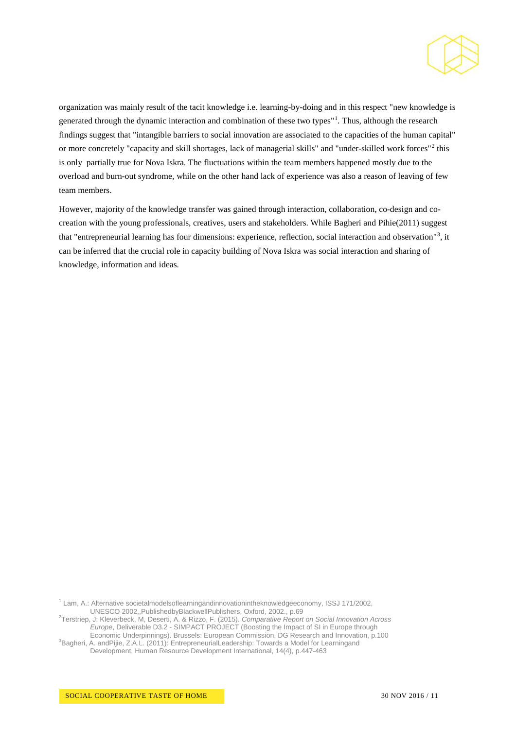

organization was mainly result of the tacit knowledge i.e. learning-by-doing and in this respect "new knowledge is generated through the dynamic interaction and combination of these two types"<sup>[1](#page-10-0)</sup>. Thus, although the research findings suggest that "intangible barriers to social innovation are associated to the capacities of the human capital" or more concretely "capacity and skill shortages, lack of managerial skills" and "under-skilled work forces"[2](#page-10-1) this is only partially true for Nova Iskra. The fluctuations within the team members happened mostly due to the overload and burn-out syndrome, while on the other hand lack of experience was also a reason of leaving of few team members.

However, majority of the knowledge transfer was gained through interaction, collaboration, co-design and cocreation with the young professionals, creatives, users and stakeholders. While Bagheri and Pihie(2011) suggest that "entrepreneurial learning has four dimensions: experience, reflection, social interaction and observation"<sup>[3](#page-10-2)</sup>, it can be inferred that the crucial role in capacity building of Nova Iskra was social interaction and sharing of knowledge, information and ideas.

<span id="page-10-0"></span><sup>1</sup> Lam, A.: Alternative societalmodelsoflearningandinnovationintheknowledgeeconomy, ISSJ 171/2002, UNESCO 2002,,PublishedbyBlackwellPublishers, Oxford, 2002., p.69 <sup>2</sup>

<span id="page-10-1"></span>Terstriep, J; Kleverbeck, M, Deserti, A. & Rizzo, F. (2015). *Comparative Report on Social Innovation Across Europe*, Deliverable D3.2 - SIMPACT PROJECT (Boosting the Impact of SI in Europe through Economic Underpinnings). Brussels: European Commission, DG Research and Innovation, p.100<br><sup>3</sup> Bosheri, A. and Pijie, Z.A. L. (2011): Entrepreneuriall eadership: Towarde e Medel fer Learningend

<span id="page-10-2"></span><sup>3</sup>Bagheri, A. andPijie, Z.A.L. (2011): EntrepreneurialLeadership: Towards a Model for Learningand Development, Human Resource Development International, 14(4), p.447-463